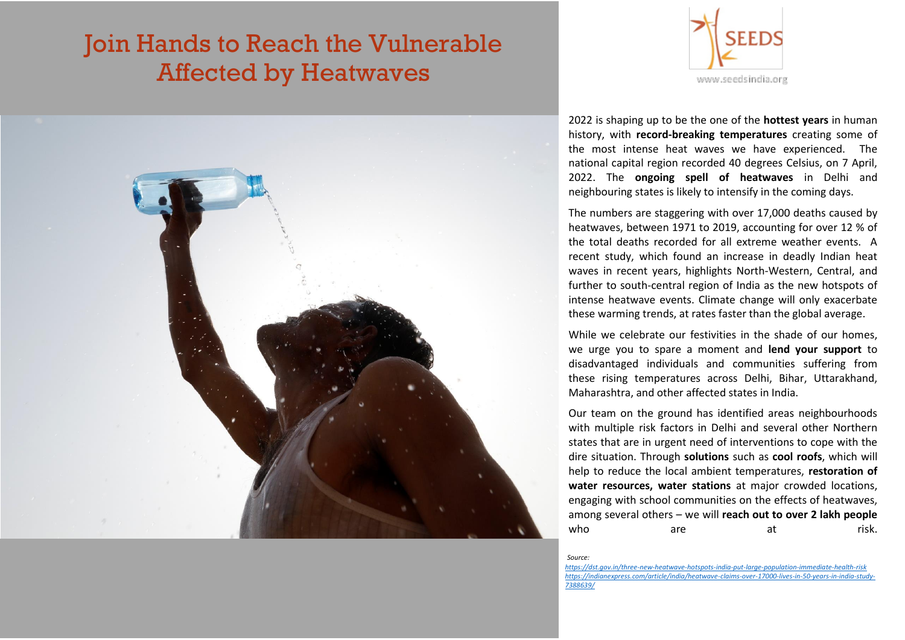# Join Hands to Reach the Vulnerable Affected by Heatwaves





2022 is shaping up to be the one of the **hottest years** in human history, with **record-breaking temperatures** creating some of the most intense heat waves we have experienced. The national capital region recorded 40 degrees Celsius, on 7 April, 2022. The **ongoing spell of heatwaves** in Delhi and neighbouring states is likely to intensify in the coming days.

The numbers are staggering with over 17,000 deaths caused by heatwaves, between 1971 to 2019, accounting for over 12 % of the total deaths recorded for all extreme weather events. A recent study, which found an increase in deadly Indian heat waves in recent years, highlights North-Western, Central, and further to south-central region of India as the new hotspots of intense heatwave events. Climate change will only exacerbate these warming trends, at rates faster than the global average.

While we celebrate our festivities in the shade of our homes. we urge you to spare a moment and **lend your support** to disadvantaged individuals and communities suffering from these rising temperatures across Delhi, Bihar, Uttarakhand, Maharashtra, and other affected states in India.

Our team on the ground has identified areas neighbourhoods with multiple risk factors in Delhi and several other Northern states that are in urgent need of interventions to cope with the dire situation. Through **solutions** such as **cool roofs**, which will help to reduce the local ambient temperatures, **restoration of water resources, water stations** at major crowded locations, engaging with school communities on the effects of heatwaves, among several others – we will **reach out to over 2 lakh people**  who are at risk.

*Source:*

*https://dst.gov.in/three-new-heatwave-hotspots-india-put-large-population-immediate-health-risk https://indianexpress.com/article/india/heatwave-claims-over-17000-lives-in-50-years-in-india-study-7388639/*